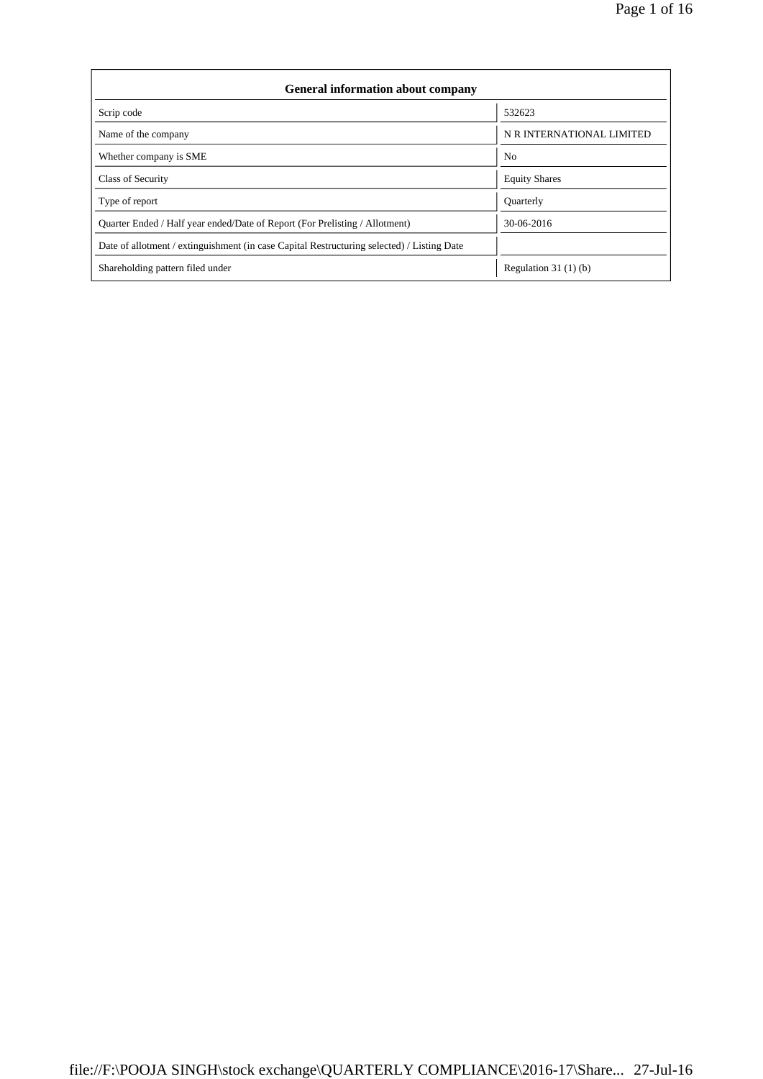| <b>General information about company</b>                                                   |                           |
|--------------------------------------------------------------------------------------------|---------------------------|
| Scrip code                                                                                 | 532623                    |
| Name of the company                                                                        | N R INTERNATIONAL LIMITED |
| Whether company is SME                                                                     | N <sub>0</sub>            |
| Class of Security                                                                          | <b>Equity Shares</b>      |
| Type of report                                                                             | <b>Quarterly</b>          |
| Ouarter Ended / Half year ended/Date of Report (For Prelisting / Allotment)                | 30-06-2016                |
| Date of allotment / extinguishment (in case Capital Restructuring selected) / Listing Date |                           |
| Shareholding pattern filed under                                                           | Regulation $31(1)(b)$     |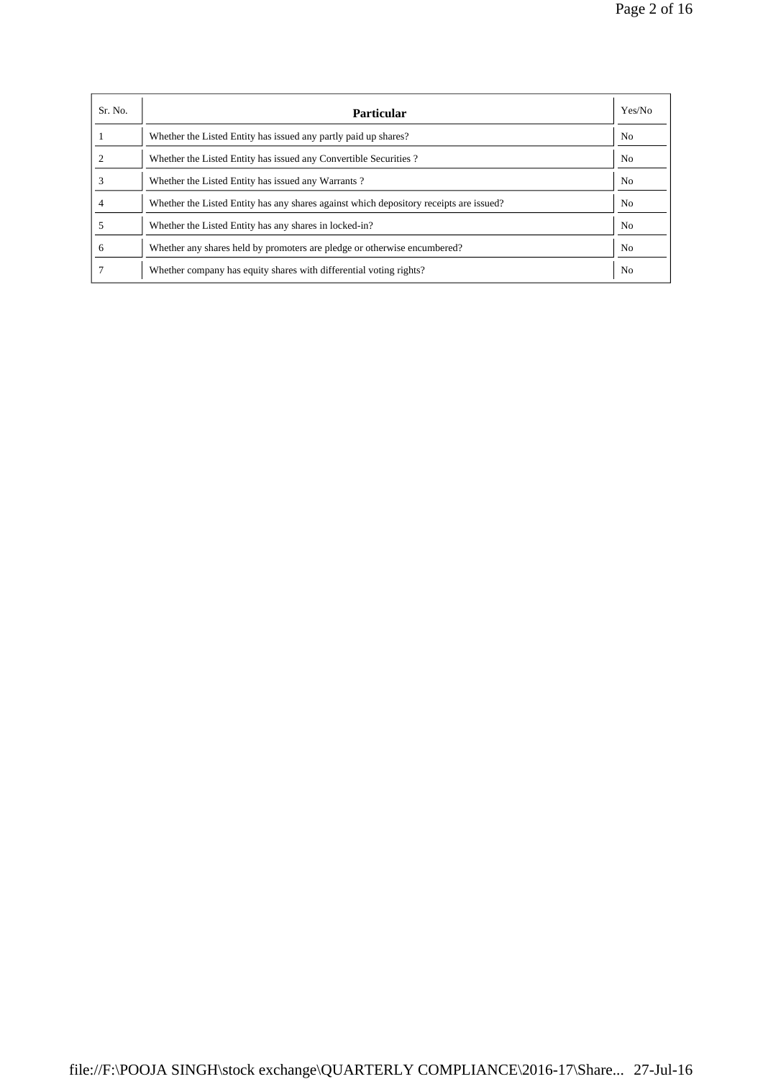| Sr. No. | <b>Particular</b>                                                                      | Yes/No         |
|---------|----------------------------------------------------------------------------------------|----------------|
|         | Whether the Listed Entity has issued any partly paid up shares?                        | N <sub>o</sub> |
|         | Whether the Listed Entity has issued any Convertible Securities?                       | No.            |
|         | Whether the Listed Entity has issued any Warrants?                                     | N <sub>0</sub> |
|         | Whether the Listed Entity has any shares against which depository receipts are issued? | N <sub>0</sub> |
|         | Whether the Listed Entity has any shares in locked-in?                                 | N <sub>0</sub> |
| 6       | Whether any shares held by promoters are pledge or otherwise encumbered?               | N <sub>0</sub> |
|         | Whether company has equity shares with differential voting rights?                     | N <sub>o</sub> |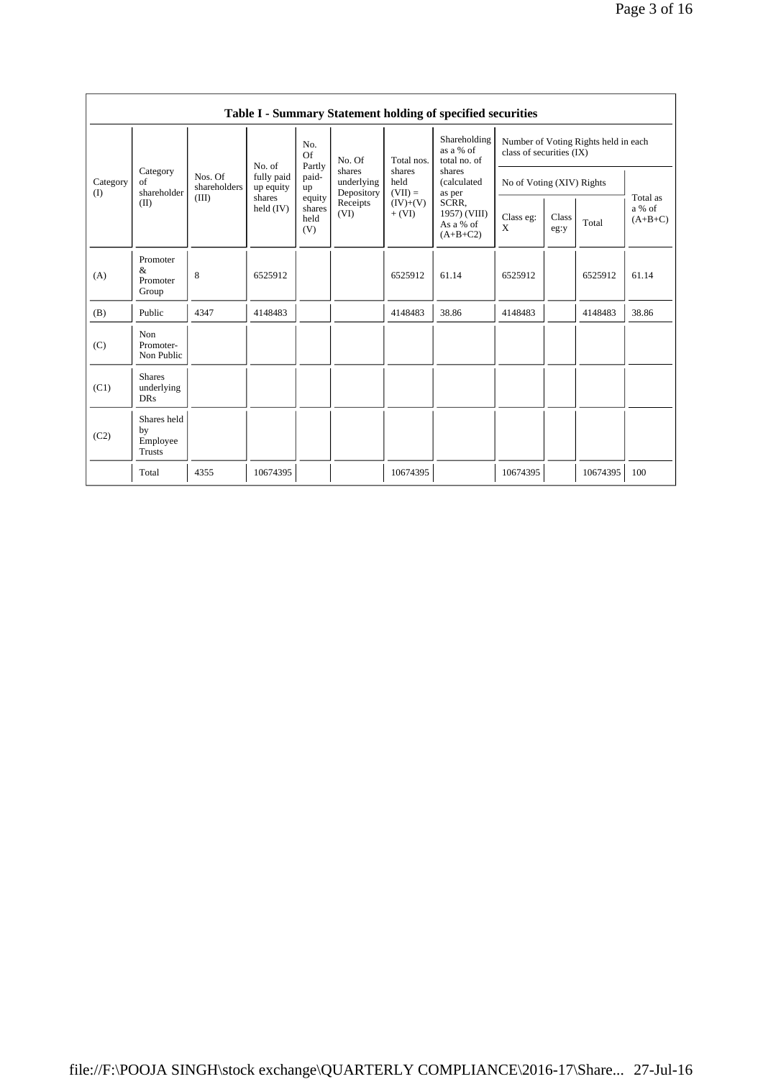|                 |                                           |                         |                         |                                 |                                    |                                                                     | Table I - Summary Statement holding of specified securities |                |                                                                  |          |                                 |  |  |
|-----------------|-------------------------------------------|-------------------------|-------------------------|---------------------------------|------------------------------------|---------------------------------------------------------------------|-------------------------------------------------------------|----------------|------------------------------------------------------------------|----------|---------------------------------|--|--|
|                 |                                           |                         | No. of                  | No.<br><b>Of</b>                | No. Of                             | Total nos.<br>shares<br>held<br>$(VII) =$<br>$(IV)+(V)$<br>$+ (VI)$ | as a % of<br>total no. of<br>shares<br>(calculated          | Shareholding   | Number of Voting Rights held in each<br>class of securities (IX) |          |                                 |  |  |
| Category<br>(I) | Category<br>of<br>shareholder             | Nos. Of<br>shareholders | fully paid<br>up equity | Partly<br>paid-<br>up           | shares<br>underlying<br>Depository |                                                                     |                                                             | as per         | No of Voting (XIV) Rights                                        |          |                                 |  |  |
|                 | (II)                                      | (III)                   | shares<br>held $(IV)$   | equity<br>shares<br>held<br>(V) | Receipts<br>(VI)                   |                                                                     | SCRR.<br>1957) (VIII)<br>As a % of<br>$(A+B+C2)$            | Class eg:<br>X | Class<br>eg:y                                                    | Total    | Total as<br>a % of<br>$(A+B+C)$ |  |  |
| (A)             | Promoter<br>$\&$<br>Promoter<br>Group     | 8                       | 6525912                 |                                 |                                    | 6525912                                                             | 61.14                                                       | 6525912        |                                                                  | 6525912  | 61.14                           |  |  |
| (B)             | Public                                    | 4347                    | 4148483                 |                                 |                                    | 4148483                                                             | 38.86                                                       | 4148483        |                                                                  | 4148483  | 38.86                           |  |  |
| (C)             | Non<br>Promoter-<br>Non Public            |                         |                         |                                 |                                    |                                                                     |                                                             |                |                                                                  |          |                                 |  |  |
| (C1)            | <b>Shares</b><br>underlying<br><b>DRs</b> |                         |                         |                                 |                                    |                                                                     |                                                             |                |                                                                  |          |                                 |  |  |
| (C2)            | Shares held<br>by<br>Employee<br>Trusts   |                         |                         |                                 |                                    |                                                                     |                                                             |                |                                                                  |          |                                 |  |  |
|                 | Total                                     | 4355                    | 10674395                |                                 |                                    | 10674395                                                            |                                                             | 10674395       |                                                                  | 10674395 | 100                             |  |  |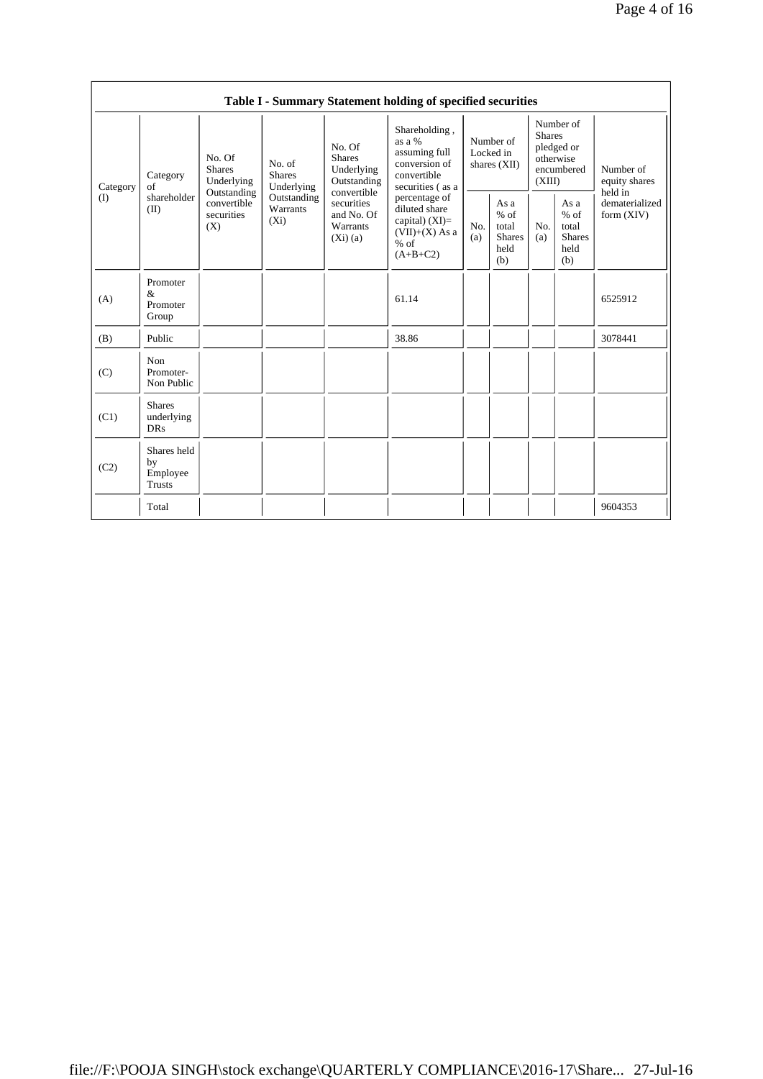|          |                                                |                                                 |                                       |                                                                                                                                    | Table I - Summary Statement holding of specified securities |                                                            |                                                                                                |                                                                               |                                                         |                            |                                                         |                                           |
|----------|------------------------------------------------|-------------------------------------------------|---------------------------------------|------------------------------------------------------------------------------------------------------------------------------------|-------------------------------------------------------------|------------------------------------------------------------|------------------------------------------------------------------------------------------------|-------------------------------------------------------------------------------|---------------------------------------------------------|----------------------------|---------------------------------------------------------|-------------------------------------------|
| Category | Category<br>$\sigma$ f                         | No. Of<br><b>Shares</b><br>Underlying           | No. of<br><b>Shares</b><br>Underlying | Shareholding,<br>as $a\%$<br>No. Of<br>assuming full<br><b>Shares</b><br>conversion of<br>Underlying<br>convertible<br>Outstanding |                                                             | Number of<br>Locked in<br>shares (XII)<br>securities (as a |                                                                                                | Number of<br><b>Shares</b><br>pledged or<br>otherwise<br>encumbered<br>(XIII) |                                                         | Number of<br>equity shares |                                                         |                                           |
| (I)      | shareholder<br>(II)                            | Outstanding<br>convertible<br>securities<br>(X) | Outstanding<br>Warrants<br>$(X_i)$    | securities<br>and No. Of<br>Warrants<br>(Xi)(a)                                                                                    | convertible                                                 |                                                            | percentage of<br>diluted share<br>capital) $(XI)=$<br>$(VII)+(X)$ As a<br>$%$ of<br>$(A+B+C2)$ | No.<br>(a)                                                                    | As a<br>$%$ of<br>total<br><b>Shares</b><br>held<br>(b) | No.<br>(a)                 | As a<br>$%$ of<br>total<br><b>Shares</b><br>held<br>(b) | held in<br>dematerialized<br>form $(XIV)$ |
| (A)      | Promoter<br>&<br>Promoter<br>Group             |                                                 |                                       |                                                                                                                                    | 61.14                                                       |                                                            |                                                                                                |                                                                               |                                                         | 6525912                    |                                                         |                                           |
| (B)      | Public                                         |                                                 |                                       |                                                                                                                                    | 38.86                                                       |                                                            |                                                                                                |                                                                               |                                                         | 3078441                    |                                                         |                                           |
| (C)      | Non<br>Promoter-<br>Non Public                 |                                                 |                                       |                                                                                                                                    |                                                             |                                                            |                                                                                                |                                                                               |                                                         |                            |                                                         |                                           |
| (C1)     | <b>Shares</b><br>underlying<br><b>DRs</b>      |                                                 |                                       |                                                                                                                                    |                                                             |                                                            |                                                                                                |                                                                               |                                                         |                            |                                                         |                                           |
| (C2)     | Shares held<br>by<br>Employee<br><b>Trusts</b> |                                                 |                                       |                                                                                                                                    |                                                             |                                                            |                                                                                                |                                                                               |                                                         |                            |                                                         |                                           |
|          | Total                                          |                                                 |                                       |                                                                                                                                    |                                                             |                                                            |                                                                                                |                                                                               |                                                         | 9604353                    |                                                         |                                           |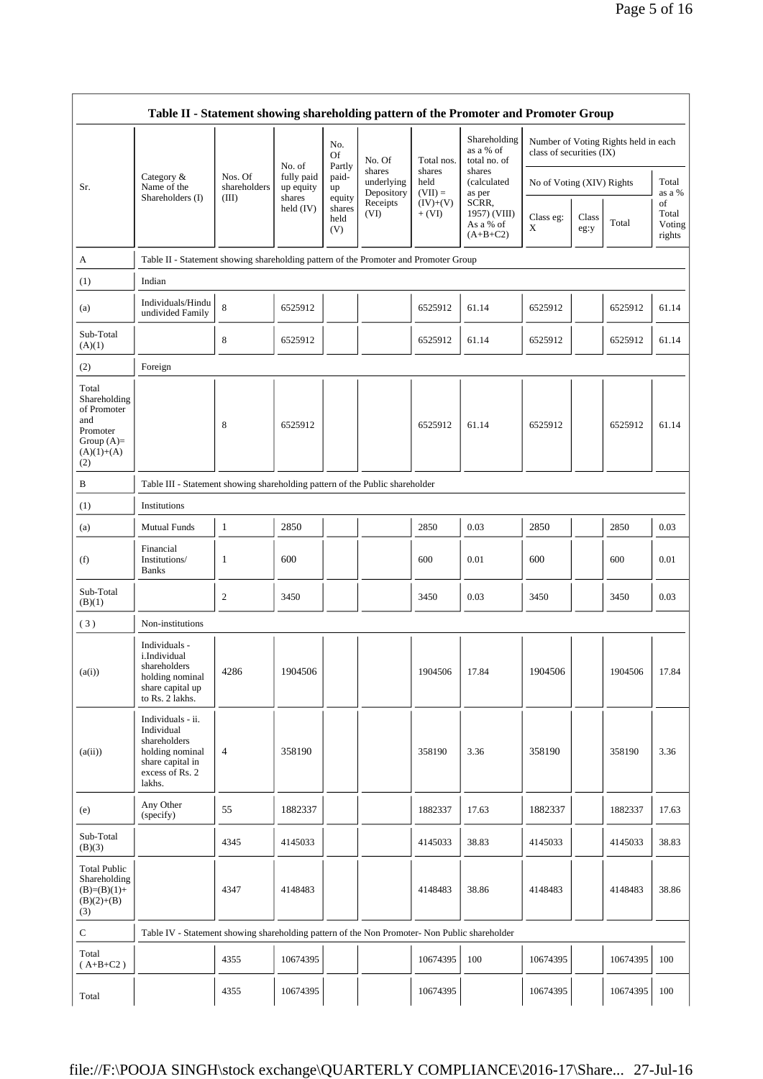|                                                                                                | Table II - Statement showing shareholding pattern of the Promoter and Promoter Group                                |                                  |                                   |                                 |                          |                        |                                                     |                           |               |                                      |                                 |
|------------------------------------------------------------------------------------------------|---------------------------------------------------------------------------------------------------------------------|----------------------------------|-----------------------------------|---------------------------------|--------------------------|------------------------|-----------------------------------------------------|---------------------------|---------------|--------------------------------------|---------------------------------|
|                                                                                                |                                                                                                                     |                                  | No. of                            | No.<br>Of<br>Partly             | No. Of<br>shares         | Total nos.<br>shares   | Shareholding<br>as a % of<br>total no. of<br>shares | class of securities (IX)  |               | Number of Voting Rights held in each |                                 |
| Sr.                                                                                            | Category &<br>Name of the<br>Shareholders (I)                                                                       | Nos. Of<br>shareholders<br>(III) | fully paid<br>up equity<br>shares | paid-<br>up                     | underlying<br>Depository | held<br>$(VII) =$      | (calculated<br>as per                               | No of Voting (XIV) Rights |               | Total<br>as a %                      |                                 |
|                                                                                                |                                                                                                                     |                                  | held $(IV)$                       | equity<br>shares<br>held<br>(V) | Receipts<br>(VI)         | $(IV)+(V)$<br>$+ (VI)$ | SCRR,<br>1957) (VIII)<br>As a % of<br>$(A+B+C2)$    | Class eg:<br>X            | Class<br>eg:y | Total                                | of<br>Total<br>Voting<br>rights |
| A                                                                                              | Table II - Statement showing shareholding pattern of the Promoter and Promoter Group                                |                                  |                                   |                                 |                          |                        |                                                     |                           |               |                                      |                                 |
| (1)                                                                                            | Indian                                                                                                              |                                  |                                   |                                 |                          |                        |                                                     |                           |               |                                      |                                 |
| (a)                                                                                            | Individuals/Hindu<br>undivided Family                                                                               | $\,$ 8 $\,$                      | 6525912                           |                                 |                          | 6525912                | 61.14                                               | 6525912                   |               | 6525912                              | 61.14                           |
| Sub-Total<br>(A)(1)                                                                            |                                                                                                                     | 8                                | 6525912                           |                                 |                          | 6525912                | 61.14                                               | 6525912                   |               | 6525912                              | 61.14                           |
| (2)                                                                                            | Foreign                                                                                                             |                                  |                                   |                                 |                          |                        |                                                     |                           |               |                                      |                                 |
| Total<br>Shareholding<br>of Promoter<br>and<br>Promoter<br>Group $(A)=$<br>$(A)(1)+(A)$<br>(2) |                                                                                                                     | 8                                | 6525912                           |                                 |                          | 6525912                | 61.14                                               | 6525912                   |               | 6525912                              | 61.14                           |
| B                                                                                              | Table III - Statement showing shareholding pattern of the Public shareholder                                        |                                  |                                   |                                 |                          |                        |                                                     |                           |               |                                      |                                 |
| (1)                                                                                            | Institutions                                                                                                        |                                  |                                   |                                 |                          |                        |                                                     |                           |               |                                      |                                 |
| (a)                                                                                            | <b>Mutual Funds</b>                                                                                                 | $\mathbf{1}$                     | 2850                              |                                 |                          | 2850                   | 0.03                                                | 2850                      |               | 2850                                 | 0.03                            |
| (f)                                                                                            | Financial<br>Institutions/<br><b>Banks</b>                                                                          | 1                                | 600                               |                                 |                          | 600                    | 0.01                                                | 600                       |               | 600                                  | 0.01                            |
| Sub-Total<br>(B)(1)                                                                            |                                                                                                                     | 2                                | 3450                              |                                 |                          | 3450                   | 0.03                                                | 3450                      |               | 3450                                 | 0.03                            |
| (3)                                                                                            | Non-institutions                                                                                                    |                                  |                                   |                                 |                          |                        |                                                     |                           |               |                                      |                                 |
| (a(i))                                                                                         | Individuals -<br>i.Individual<br>shareholders<br>holding nominal<br>share capital up<br>to Rs. 2 lakhs.             | 4286                             | 1904506                           |                                 |                          | 1904506                | 17.84                                               | 1904506                   |               | 1904506                              | 17.84                           |
| (a(ii))                                                                                        | Individuals - ii.<br>Individual<br>shareholders<br>holding nominal<br>share capital in<br>excess of Rs. 2<br>lakhs. | 4                                | 358190                            |                                 |                          | 358190                 | 3.36                                                | 358190                    |               | 358190                               | 3.36                            |
| (e)                                                                                            | Any Other<br>(specify)                                                                                              | 55                               | 1882337                           |                                 |                          | 1882337                | 17.63                                               | 1882337                   |               | 1882337                              | 17.63                           |
| Sub-Total<br>(B)(3)                                                                            |                                                                                                                     | 4345                             | 4145033                           |                                 |                          | 4145033                | 38.83                                               | 4145033                   |               | 4145033                              | 38.83                           |
| <b>Total Public</b><br>Shareholding<br>$(B)=(B)(1)+$<br>$(B)(2)+(B)$<br>(3)                    |                                                                                                                     | 4347                             | 4148483                           |                                 |                          | 4148483                | 38.86                                               | 4148483                   |               | 4148483                              | 38.86                           |
| ${\bf C}$                                                                                      | Table IV - Statement showing shareholding pattern of the Non Promoter- Non Public shareholder                       |                                  |                                   |                                 |                          |                        |                                                     |                           |               |                                      |                                 |
| Total<br>$(A+B+C2)$                                                                            |                                                                                                                     | 4355                             | 10674395                          |                                 |                          | 10674395               | 100                                                 | 10674395                  |               | 10674395                             | 100                             |
| Total                                                                                          |                                                                                                                     | 4355                             | 10674395                          |                                 |                          | 10674395               |                                                     | 10674395                  |               | 10674395                             | 100                             |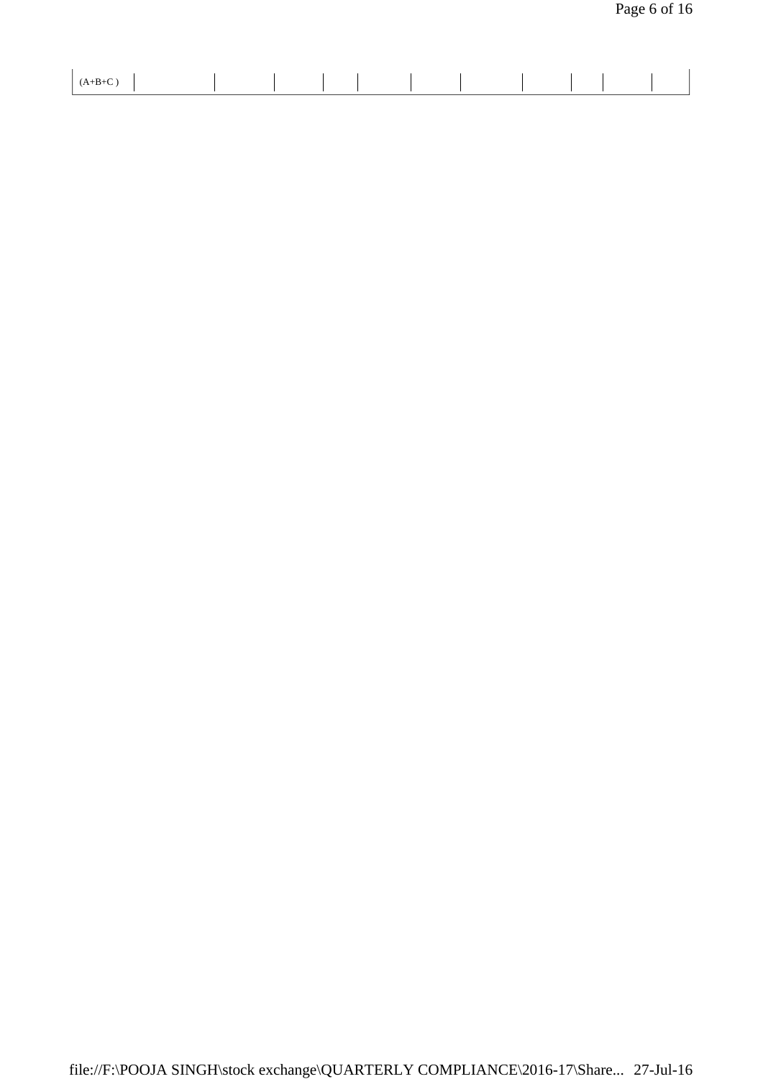| --<br>. |  |  |  |  |  |
|---------|--|--|--|--|--|
|         |  |  |  |  |  |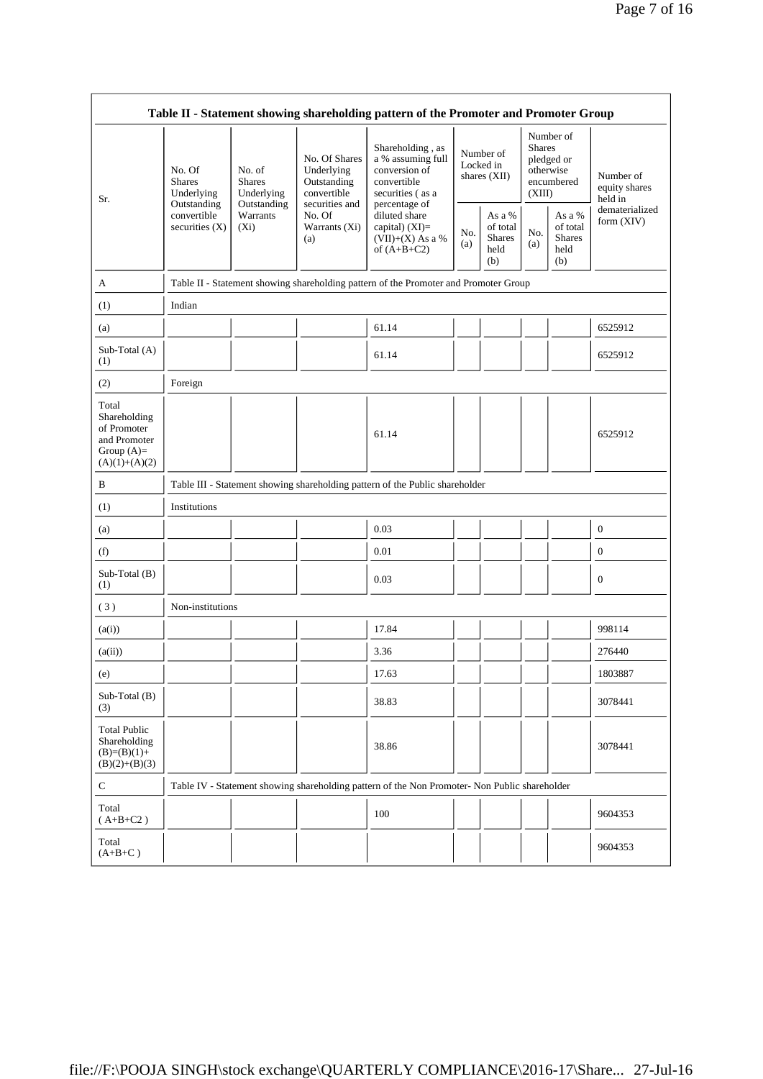|                                                                                         |                                                      |                                                                                                                                     |                                                                                                            | Table II - Statement showing shareholding pattern of the Promoter and Promoter Group          |                                          |                                                    |                                                                               |                                                    |                                |
|-----------------------------------------------------------------------------------------|------------------------------------------------------|-------------------------------------------------------------------------------------------------------------------------------------|------------------------------------------------------------------------------------------------------------|-----------------------------------------------------------------------------------------------|------------------------------------------|----------------------------------------------------|-------------------------------------------------------------------------------|----------------------------------------------------|--------------------------------|
| Sr.                                                                                     | No. Of<br><b>Shares</b><br>Underlying<br>Outstanding | No. Of Shares<br>No. of<br>Underlying<br><b>Shares</b><br>Outstanding<br>convertible<br>Underlying<br>Outstanding<br>securities and | Shareholding, as<br>a % assuming full<br>conversion of<br>convertible<br>securities (as a<br>percentage of |                                                                                               | Number of<br>Locked in<br>shares $(XII)$ |                                                    | Number of<br><b>Shares</b><br>pledged or<br>otherwise<br>encumbered<br>(XIII) | Number of<br>equity shares<br>held in              |                                |
|                                                                                         | convertible<br>securities (X)                        | Warrants<br>$(X_i)$                                                                                                                 | No. Of<br>Warrants (Xi)<br>(a)                                                                             | diluted share<br>capital) $(XI)$ =<br>$(VII)+(X)$ As a %<br>of $(A+B+C2)$                     | No.<br>(a)                               | As a %<br>of total<br><b>Shares</b><br>held<br>(b) | No.<br>(a)                                                                    | As a %<br>of total<br><b>Shares</b><br>held<br>(b) | dematerialized<br>form $(XIV)$ |
| A                                                                                       |                                                      |                                                                                                                                     |                                                                                                            | Table II - Statement showing shareholding pattern of the Promoter and Promoter Group          |                                          |                                                    |                                                                               |                                                    |                                |
| (1)                                                                                     | Indian                                               |                                                                                                                                     |                                                                                                            |                                                                                               |                                          |                                                    |                                                                               |                                                    |                                |
| (a)                                                                                     |                                                      |                                                                                                                                     |                                                                                                            | 61.14                                                                                         |                                          |                                                    |                                                                               |                                                    | 6525912                        |
| Sub-Total (A)<br>(1)                                                                    |                                                      |                                                                                                                                     |                                                                                                            | 61.14                                                                                         |                                          |                                                    |                                                                               |                                                    | 6525912                        |
| (2)                                                                                     | Foreign                                              |                                                                                                                                     |                                                                                                            |                                                                                               |                                          |                                                    |                                                                               |                                                    |                                |
| Total<br>Shareholding<br>of Promoter<br>and Promoter<br>Group $(A)=$<br>$(A)(1)+(A)(2)$ |                                                      |                                                                                                                                     |                                                                                                            | 61.14                                                                                         |                                          |                                                    |                                                                               |                                                    | 6525912                        |
| В                                                                                       |                                                      |                                                                                                                                     |                                                                                                            | Table III - Statement showing shareholding pattern of the Public shareholder                  |                                          |                                                    |                                                                               |                                                    |                                |
| (1)                                                                                     | Institutions                                         |                                                                                                                                     |                                                                                                            |                                                                                               |                                          |                                                    |                                                                               |                                                    |                                |
| (a)                                                                                     |                                                      |                                                                                                                                     |                                                                                                            | 0.03                                                                                          |                                          |                                                    |                                                                               |                                                    | $\mathbf{0}$                   |
| (f)                                                                                     |                                                      |                                                                                                                                     |                                                                                                            | 0.01                                                                                          |                                          |                                                    |                                                                               |                                                    | $\mathbf{0}$                   |
| Sub-Total (B)<br>(1)                                                                    |                                                      |                                                                                                                                     |                                                                                                            | 0.03                                                                                          |                                          |                                                    |                                                                               |                                                    | $\boldsymbol{0}$               |
| (3)                                                                                     | Non-institutions                                     |                                                                                                                                     |                                                                                                            |                                                                                               |                                          |                                                    |                                                                               |                                                    |                                |
| (a(i))                                                                                  |                                                      |                                                                                                                                     |                                                                                                            | 17.84                                                                                         |                                          |                                                    |                                                                               |                                                    | 998114                         |
| (a(ii))                                                                                 |                                                      |                                                                                                                                     |                                                                                                            | 3.36                                                                                          |                                          |                                                    |                                                                               |                                                    | 276440                         |
| (e)                                                                                     |                                                      |                                                                                                                                     |                                                                                                            | 17.63                                                                                         |                                          |                                                    |                                                                               |                                                    | 1803887                        |
| Sub-Total (B)<br>(3)                                                                    |                                                      |                                                                                                                                     |                                                                                                            | 38.83                                                                                         |                                          |                                                    |                                                                               |                                                    | 3078441                        |
| <b>Total Public</b><br>Shareholding<br>$(B)=(B)(1)+$<br>$(B)(2)+(B)(3)$                 |                                                      |                                                                                                                                     |                                                                                                            | 38.86                                                                                         |                                          |                                                    |                                                                               |                                                    | 3078441                        |
| $\mathbf C$                                                                             |                                                      |                                                                                                                                     |                                                                                                            | Table IV - Statement showing shareholding pattern of the Non Promoter- Non Public shareholder |                                          |                                                    |                                                                               |                                                    |                                |
| Total<br>$(A+B+C2)$                                                                     |                                                      |                                                                                                                                     |                                                                                                            | 100                                                                                           |                                          |                                                    |                                                                               |                                                    | 9604353                        |
| Total<br>$(A+B+C)$                                                                      |                                                      |                                                                                                                                     |                                                                                                            |                                                                                               |                                          |                                                    |                                                                               |                                                    | 9604353                        |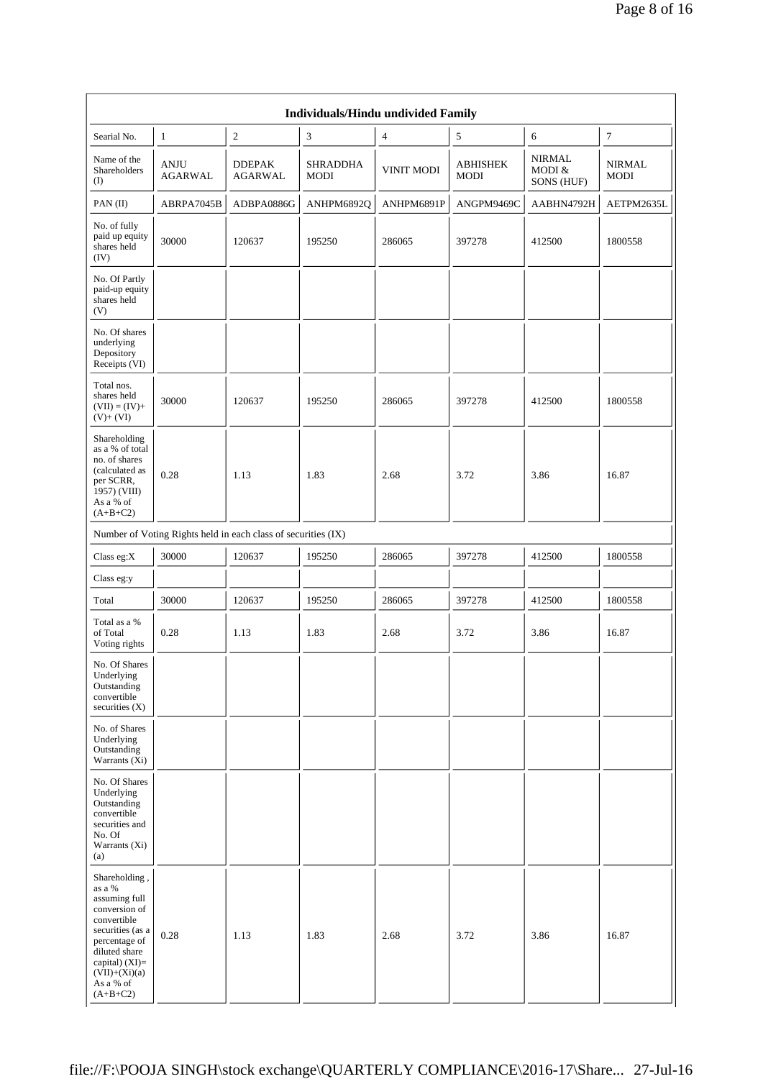|                                                                                                                                                                                                |                                                               |                    | <b>Individuals/Hindu undivided Family</b> |                                     |                      |                              |                         |
|------------------------------------------------------------------------------------------------------------------------------------------------------------------------------------------------|---------------------------------------------------------------|--------------------|-------------------------------------------|-------------------------------------|----------------------|------------------------------|-------------------------|
| Searial No.<br>Name of the<br>Shareholders                                                                                                                                                     | $\mathbf{1}$<br>ANJU                                          | 2<br><b>DDEPAK</b> | 3<br><b>SHRADDHA</b>                      | $\overline{4}$<br><b>VINIT MODI</b> | 5<br><b>ABHISHEK</b> | 6<br><b>NIRMAL</b><br>MODI & | $\tau$<br><b>NIRMAL</b> |
| (I)                                                                                                                                                                                            | <b>AGARWAL</b>                                                | <b>AGARWAL</b>     | MODI                                      |                                     | MODI                 | SONS (HUF)                   | MODI                    |
| PAN(II)                                                                                                                                                                                        | ABRPA7045B                                                    | ADBPA0886G         | ANHPM6892Q                                | ANHPM6891P                          | ANGPM9469C           | AABHN4792H                   | AETPM2635L              |
| No. of fully<br>paid up equity<br>shares held<br>(IV)                                                                                                                                          | 30000                                                         | 120637             | 195250                                    | 286065                              | 397278               | 412500                       | 1800558                 |
| No. Of Partly<br>paid-up equity<br>shares held<br>(V)                                                                                                                                          |                                                               |                    |                                           |                                     |                      |                              |                         |
| No. Of shares<br>underlying<br>Depository<br>Receipts (VI)                                                                                                                                     |                                                               |                    |                                           |                                     |                      |                              |                         |
| Total nos.<br>shares held<br>$(VII) = (IV) +$<br>$(V)+(VI)$                                                                                                                                    | 30000                                                         | 120637             | 195250                                    | 286065                              | 397278               | 412500                       | 1800558                 |
| Shareholding<br>as a % of total<br>no. of shares<br>(calculated as<br>per SCRR,<br>1957) (VIII)<br>As a % of<br>$(A+B+C2)$                                                                     | 0.28                                                          | 1.13               | 1.83                                      | 2.68                                | 3.72                 | 3.86                         | 16.87                   |
|                                                                                                                                                                                                | Number of Voting Rights held in each class of securities (IX) |                    |                                           |                                     |                      |                              |                         |
| Class eg:X                                                                                                                                                                                     | 30000                                                         | 120637             | 195250                                    | 286065                              | 397278               | 412500                       | 1800558                 |
| Class eg:y                                                                                                                                                                                     |                                                               |                    |                                           |                                     |                      |                              |                         |
| Total                                                                                                                                                                                          | 30000                                                         | 120637             | 195250                                    | 286065                              | 397278               | 412500                       | 1800558                 |
| Total as a %<br>of Total<br>Voting rights                                                                                                                                                      | 0.28                                                          | 1.13               | 1.83                                      | 2.68                                | 3.72                 | 3.86                         | 16.87                   |
| No. Of Shares<br>Underlying<br>Outstanding<br>convertible<br>securities (X)                                                                                                                    |                                                               |                    |                                           |                                     |                      |                              |                         |
| No. of Shares<br>Underlying<br>Outstanding<br>Warrants (Xi)                                                                                                                                    |                                                               |                    |                                           |                                     |                      |                              |                         |
| No. Of Shares<br>Underlying<br>Outstanding<br>convertible<br>securities and<br>No. Of<br>Warrants (Xi)<br>(a)                                                                                  |                                                               |                    |                                           |                                     |                      |                              |                         |
| Shareholding,<br>as a %<br>assuming full<br>conversion of<br>convertible<br>securities (as a<br>percentage of<br>diluted share<br>capital) (XI)=<br>$(VII)+(Xi)(a)$<br>As a % of<br>$(A+B+C2)$ | 0.28                                                          | 1.13               | 1.83                                      | 2.68                                | 3.72                 | 3.86                         | 16.87                   |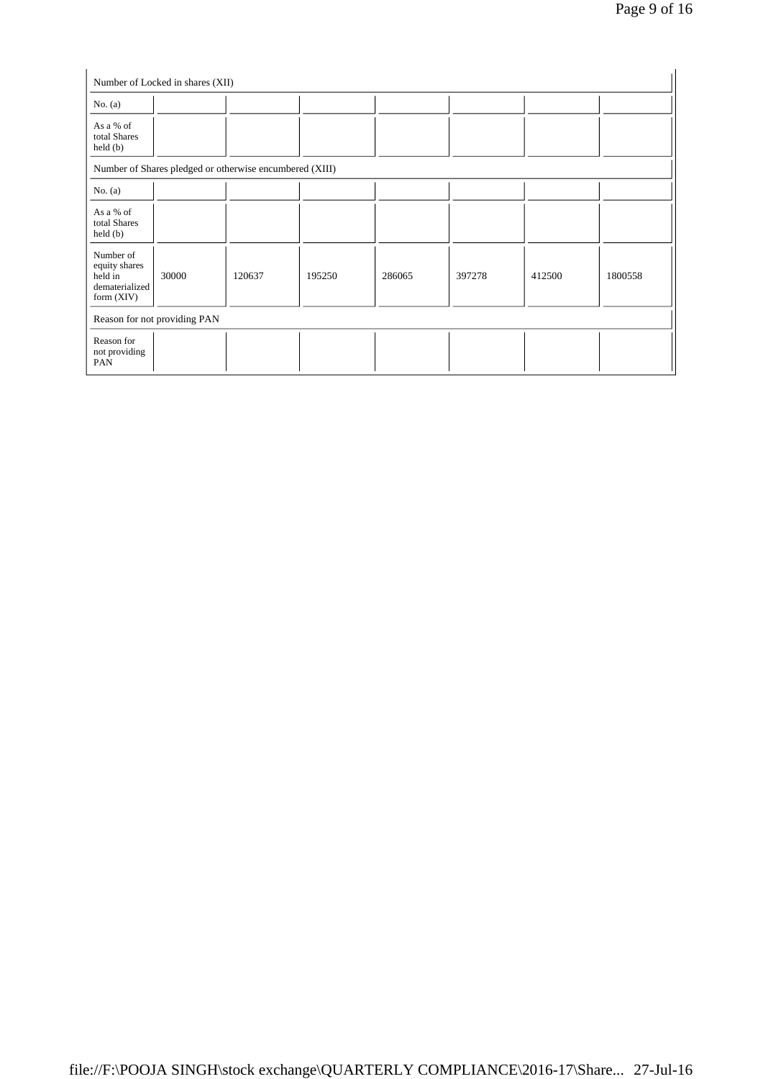| No. $(a)$                                                               |                              |                                                         |        |        |        |        |         |
|-------------------------------------------------------------------------|------------------------------|---------------------------------------------------------|--------|--------|--------|--------|---------|
| As a % of<br>total Shares<br>$\text{held}(\text{b})$                    |                              |                                                         |        |        |        |        |         |
|                                                                         |                              | Number of Shares pledged or otherwise encumbered (XIII) |        |        |        |        |         |
| No. $(a)$                                                               |                              |                                                         |        |        |        |        |         |
| As a % of<br>total Shares<br>$\text{held}(\text{b})$                    |                              |                                                         |        |        |        |        |         |
| Number of<br>equity shares<br>held in<br>dematerialized<br>form $(XIV)$ | 30000                        | 120637                                                  | 195250 | 286065 | 397278 | 412500 | 1800558 |
|                                                                         | Reason for not providing PAN |                                                         |        |        |        |        |         |
| Reason for<br>not providing<br>PAN                                      |                              |                                                         |        |        |        |        |         |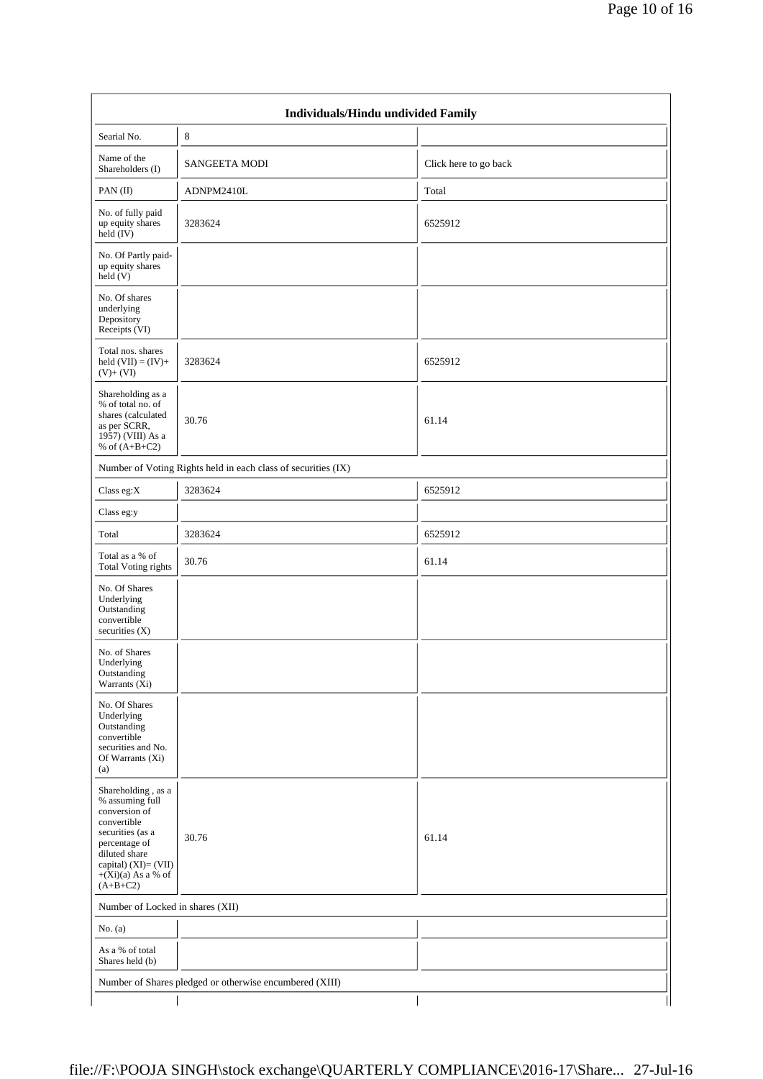|                                                                                                                                                                                           | Individuals/Hindu undivided Family                            |                       |
|-------------------------------------------------------------------------------------------------------------------------------------------------------------------------------------------|---------------------------------------------------------------|-----------------------|
| Searial No.                                                                                                                                                                               | $8\,$                                                         |                       |
| Name of the<br>Shareholders (I)                                                                                                                                                           | <b>SANGEETA MODI</b>                                          | Click here to go back |
| PAN(II)                                                                                                                                                                                   | ADNPM2410L                                                    | Total                 |
| No. of fully paid<br>up equity shares<br>held (IV)                                                                                                                                        | 3283624                                                       | 6525912               |
| No. Of Partly paid-<br>up equity shares<br>$\text{held} (V)$                                                                                                                              |                                                               |                       |
| No. Of shares<br>underlying<br>Depository<br>Receipts (VI)                                                                                                                                |                                                               |                       |
| Total nos. shares<br>held $(VII) = (IV) +$<br>$(V)$ + $(VI)$                                                                                                                              | 3283624                                                       | 6525912               |
| Shareholding as a<br>% of total no. of<br>shares (calculated<br>as per SCRR,<br>1957) (VIII) As a<br>% of $(A+B+C2)$                                                                      | 30.76                                                         | 61.14                 |
|                                                                                                                                                                                           | Number of Voting Rights held in each class of securities (IX) |                       |
| Class eg:X                                                                                                                                                                                | 3283624                                                       | 6525912               |
| Class eg:y                                                                                                                                                                                |                                                               |                       |
| Total                                                                                                                                                                                     | 3283624                                                       | 6525912               |
| Total as a % of<br><b>Total Voting rights</b>                                                                                                                                             | 30.76                                                         | 61.14                 |
| No. Of Shares<br>Underlying<br>Outstanding<br>convertible<br>securities $(X)$                                                                                                             |                                                               |                       |
| No. of Shares<br>Underlying<br>Outstanding<br>Warrants (Xi)                                                                                                                               |                                                               |                       |
| No. Of Shares<br>Underlying<br>Outstanding<br>convertible<br>securities and No.<br>Of Warrants (Xi)<br>(a)                                                                                |                                                               |                       |
| Shareholding, as a<br>% assuming full<br>conversion of<br>convertible<br>securities (as a<br>percentage of<br>diluted share<br>capital) (XI)= (VII)<br>$+(Xi)(a)$ As a % of<br>$(A+B+C2)$ | 30.76                                                         | 61.14                 |
| Number of Locked in shares (XII)                                                                                                                                                          |                                                               |                       |
| No. $(a)$                                                                                                                                                                                 |                                                               |                       |
| As a % of total<br>Shares held (b)                                                                                                                                                        |                                                               |                       |
|                                                                                                                                                                                           | Number of Shares pledged or otherwise encumbered (XIII)       |                       |
|                                                                                                                                                                                           |                                                               |                       |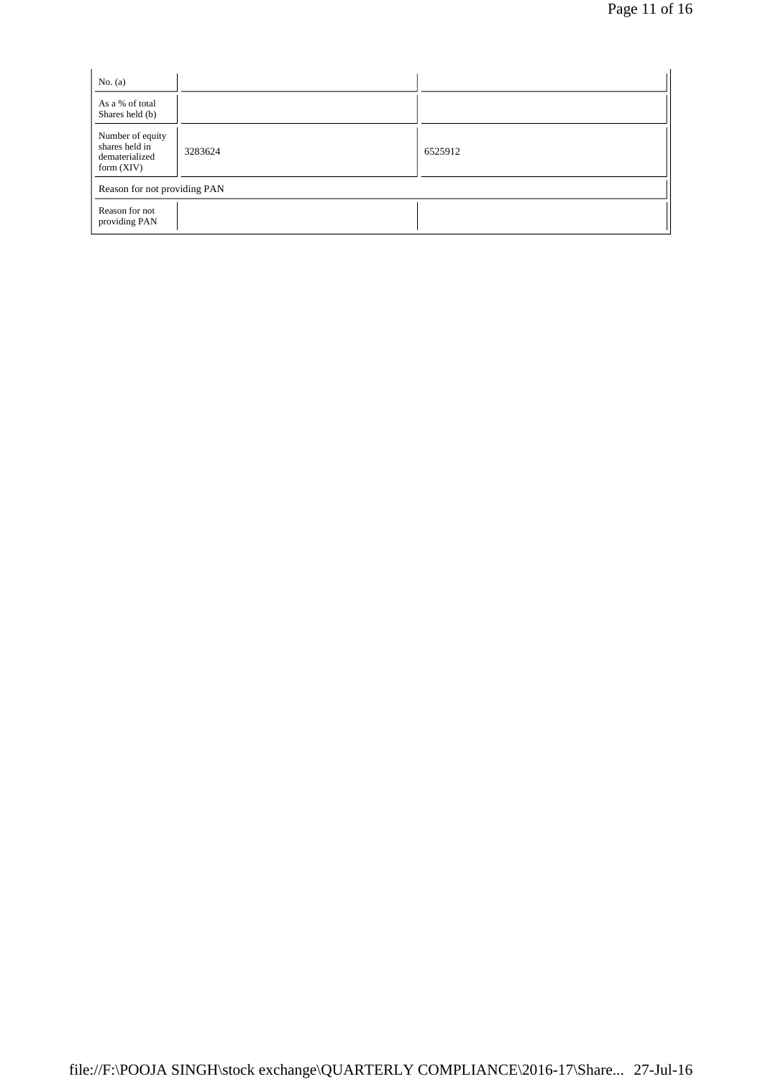| No. $(a)$                                                            |         |         |  |
|----------------------------------------------------------------------|---------|---------|--|
| As a % of total<br>Shares held (b)                                   |         |         |  |
| Number of equity<br>shares held in<br>dematerialized<br>form $(XIV)$ | 3283624 | 6525912 |  |
| Reason for not providing PAN                                         |         |         |  |
| Reason for not<br>providing PAN                                      |         |         |  |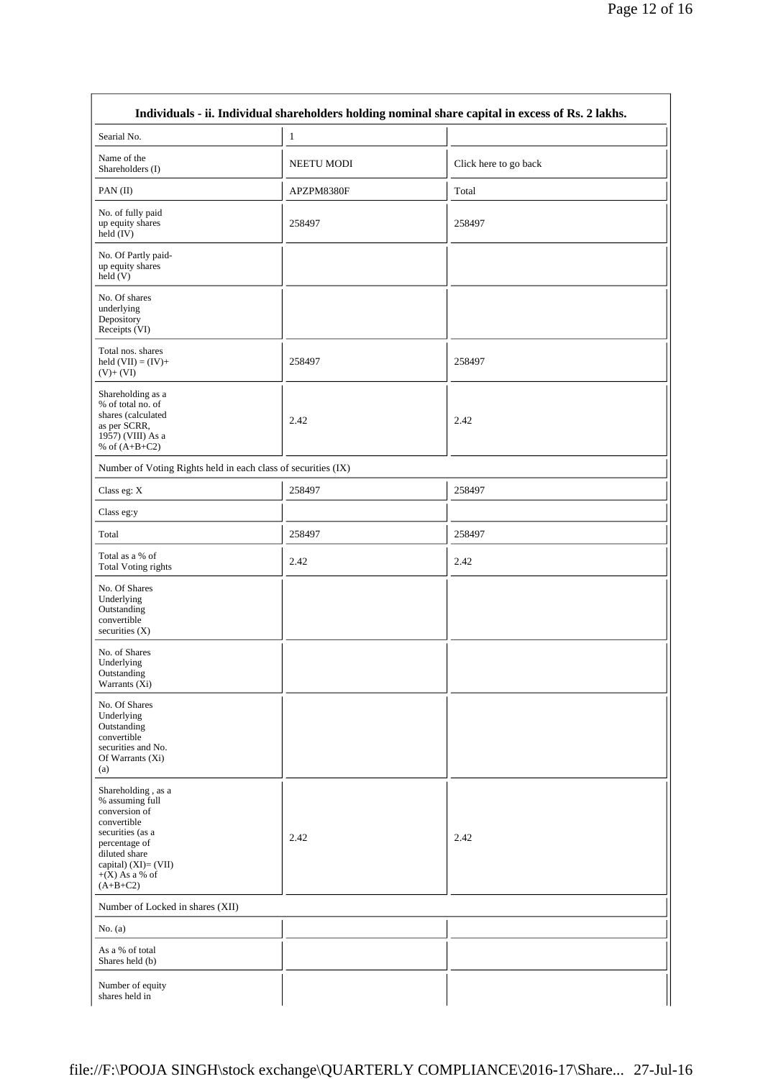| Searial No.                                                                                                                                                                           | $\mathbf{1}$      |                       |
|---------------------------------------------------------------------------------------------------------------------------------------------------------------------------------------|-------------------|-----------------------|
| Name of the<br>Shareholders (I)                                                                                                                                                       | <b>NEETU MODI</b> | Click here to go back |
| PAN(II)                                                                                                                                                                               | APZPM8380F        | Total                 |
| No. of fully paid<br>up equity shares<br>$held$ (IV)                                                                                                                                  | 258497            | 258497                |
| No. Of Partly paid-<br>up equity shares<br>held(V)                                                                                                                                    |                   |                       |
| No. Of shares<br>underlying<br>Depository<br>Receipts (VI)                                                                                                                            |                   |                       |
| Total nos. shares<br>held $(VII) = (IV) +$<br>$(V)+(VI)$                                                                                                                              | 258497            | 258497                |
| Shareholding as a<br>% of total no. of<br>shares (calculated<br>as per SCRR,<br>1957) (VIII) As a<br>% of $(A+B+C2)$                                                                  | 2.42              | 2.42                  |
| Number of Voting Rights held in each class of securities (IX)                                                                                                                         |                   |                       |
| Class eg: X                                                                                                                                                                           | 258497            | 258497                |
| Class eg:y                                                                                                                                                                            |                   |                       |
| Total                                                                                                                                                                                 | 258497            | 258497                |
| Total as a % of<br>Total Voting rights                                                                                                                                                | 2.42              | 2.42                  |
| No. Of Shares<br>Underlying<br>Outstanding<br>convertible<br>securities (X)                                                                                                           |                   |                       |
| No. of Shares<br>Underlying<br>Outstanding<br>Warrants $(X_i)$                                                                                                                        |                   |                       |
| No. Of Shares<br>Underlying<br>Outstanding<br>convertible<br>securities and No.<br>Of Warrants (Xi)<br>(a)                                                                            |                   |                       |
| Shareholding, as a<br>% assuming full<br>conversion of<br>convertible<br>securities (as a<br>percentage of<br>diluted share<br>capital) (XI)= (VII)<br>$+(X)$ As a % of<br>$(A+B+C2)$ | 2.42              | 2.42                  |
| Number of Locked in shares (XII)                                                                                                                                                      |                   |                       |
| No. $(a)$                                                                                                                                                                             |                   |                       |
| As a % of total<br>Shares held (b)                                                                                                                                                    |                   |                       |
| Number of equity<br>shares held in                                                                                                                                                    |                   |                       |

<u> 1989 - Johann Stein, mars an deutscher Stein († 1989)</u>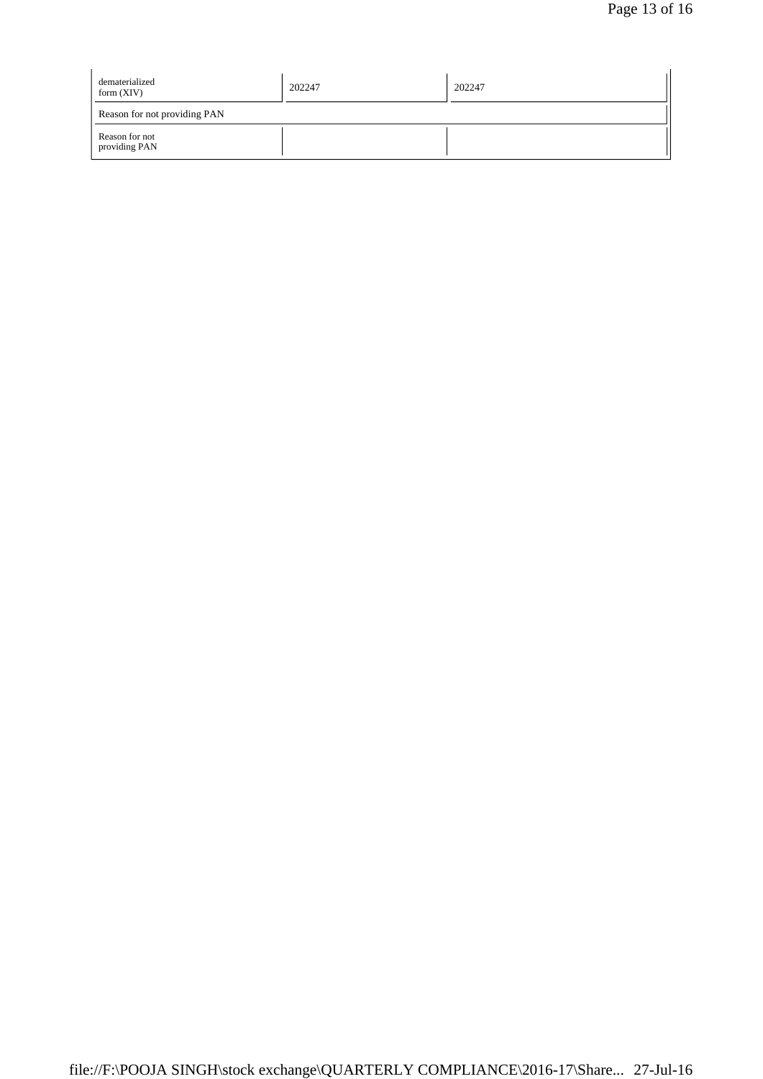| dematerialized<br>form $(XIV)$  | 202247 | 202247 |  |  |
|---------------------------------|--------|--------|--|--|
| Reason for not providing PAN    |        |        |  |  |
| Reason for not<br>providing PAN |        |        |  |  |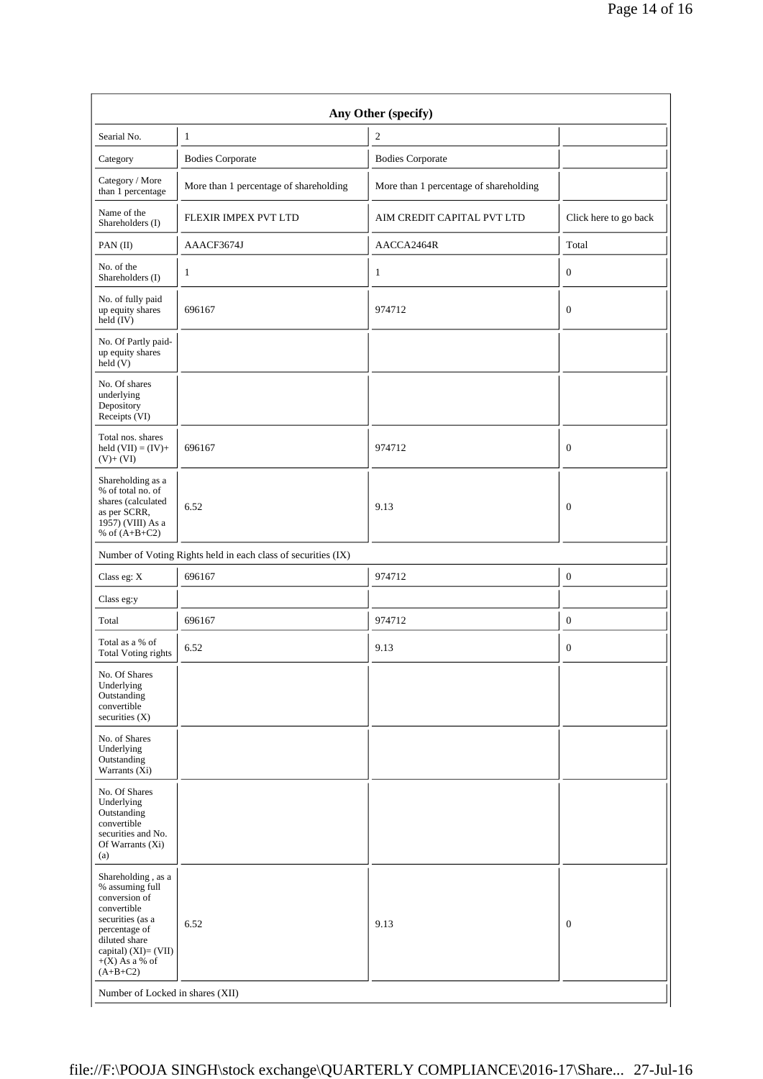| Any Other (specify)                                                                                                                                                                      |                                                               |                                        |                       |  |  |
|------------------------------------------------------------------------------------------------------------------------------------------------------------------------------------------|---------------------------------------------------------------|----------------------------------------|-----------------------|--|--|
| Searial No.                                                                                                                                                                              | $\mathbf{1}$                                                  | $\mathfrak{2}$                         |                       |  |  |
| Category                                                                                                                                                                                 | <b>Bodies Corporate</b>                                       | <b>Bodies Corporate</b>                |                       |  |  |
| Category / More<br>than 1 percentage                                                                                                                                                     | More than 1 percentage of shareholding                        | More than 1 percentage of shareholding |                       |  |  |
| Name of the<br>Shareholders (I)                                                                                                                                                          | FLEXIR IMPEX PVT LTD                                          | AIM CREDIT CAPITAL PVT LTD             | Click here to go back |  |  |
| PAN(II)                                                                                                                                                                                  | AAACF3674J                                                    | AACCA2464R                             | Total                 |  |  |
| No. of the<br>Shareholders (I)                                                                                                                                                           | $\mathbf{1}$                                                  | $\mathbf{1}$                           | 0                     |  |  |
| No. of fully paid<br>up equity shares<br>held (IV)                                                                                                                                       | 696167                                                        | 974712                                 | 0                     |  |  |
| No. Of Partly paid-<br>up equity shares<br>held(V)                                                                                                                                       |                                                               |                                        |                       |  |  |
| No. Of shares<br>underlying<br>Depository<br>Receipts (VI)                                                                                                                               |                                                               |                                        |                       |  |  |
| Total nos. shares<br>held $(VII) = (IV) +$<br>$(V)+(VI)$                                                                                                                                 | 696167                                                        | 974712                                 | $\boldsymbol{0}$      |  |  |
| Shareholding as a<br>% of total no. of<br>shares (calculated<br>as per SCRR,<br>1957) (VIII) As a<br>% of $(A+B+C2)$                                                                     | 6.52                                                          | 9.13                                   | $\boldsymbol{0}$      |  |  |
|                                                                                                                                                                                          | Number of Voting Rights held in each class of securities (IX) |                                        |                       |  |  |
| Class eg: X                                                                                                                                                                              | 696167                                                        | 974712                                 | $\boldsymbol{0}$      |  |  |
| Class eg:y                                                                                                                                                                               |                                                               |                                        |                       |  |  |
| Total                                                                                                                                                                                    | 696167                                                        | 974712                                 | $\mathbf{0}$          |  |  |
| Total as a % of<br><b>Total Voting rights</b>                                                                                                                                            | 6.52                                                          | 9.13                                   | 0                     |  |  |
| No. Of Shares<br>Underlying<br>Outstanding<br>convertible<br>securities $(X)$                                                                                                            |                                                               |                                        |                       |  |  |
| No. of Shares<br>Underlying<br>Outstanding<br>Warrants (Xi)                                                                                                                              |                                                               |                                        |                       |  |  |
| No. Of Shares<br>Underlying<br>Outstanding<br>convertible<br>securities and No.<br>Of Warrants (Xi)<br>(a)                                                                               |                                                               |                                        |                       |  |  |
| Shareholding, as a<br>% assuming full<br>conversion of<br>convertible<br>securities (as a<br>percentage of<br>diluted share<br>capital) $(XI) = (VII)$<br>$+(X)$ As a % of<br>$(A+B+C2)$ | 6.52                                                          | 9.13                                   | $\mathbf{0}$          |  |  |
| Number of Locked in shares (XII)                                                                                                                                                         |                                                               |                                        |                       |  |  |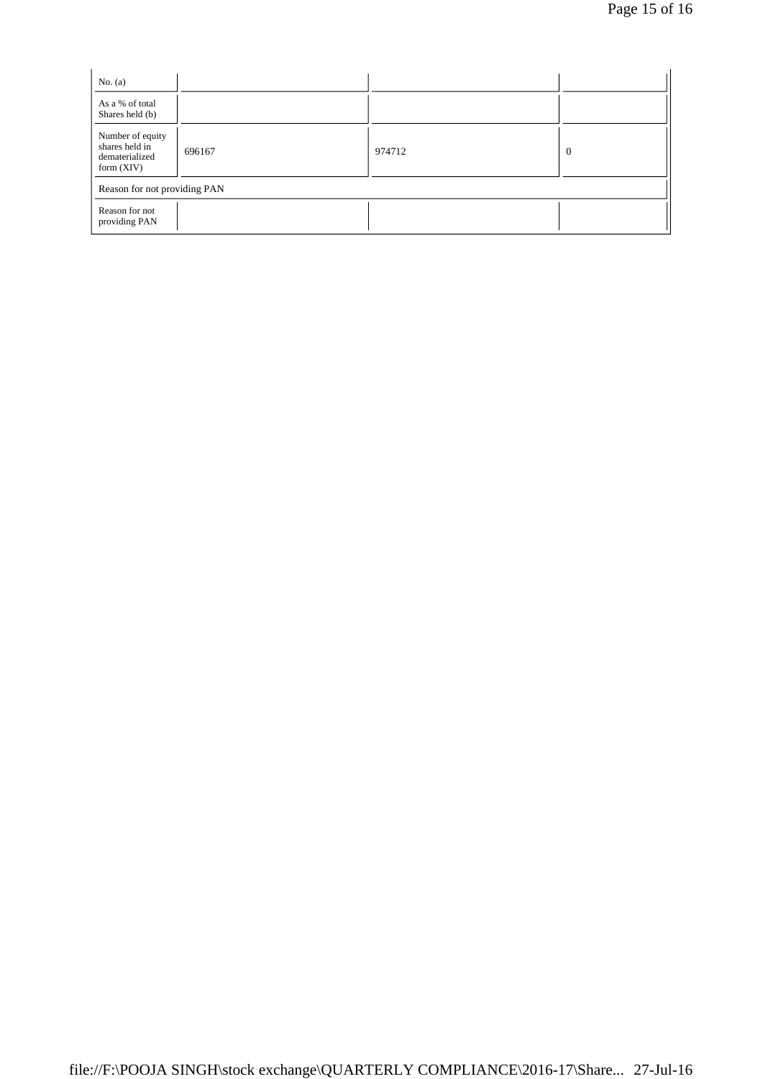| No. $(a)$                                                            |        |        |          |
|----------------------------------------------------------------------|--------|--------|----------|
| As a % of total<br>Shares held (b)                                   |        |        |          |
| Number of equity<br>shares held in<br>dematerialized<br>form $(XIV)$ | 696167 | 974712 | $\theta$ |
| Reason for not providing PAN                                         |        |        |          |
| Reason for not<br>providing PAN                                      |        |        |          |